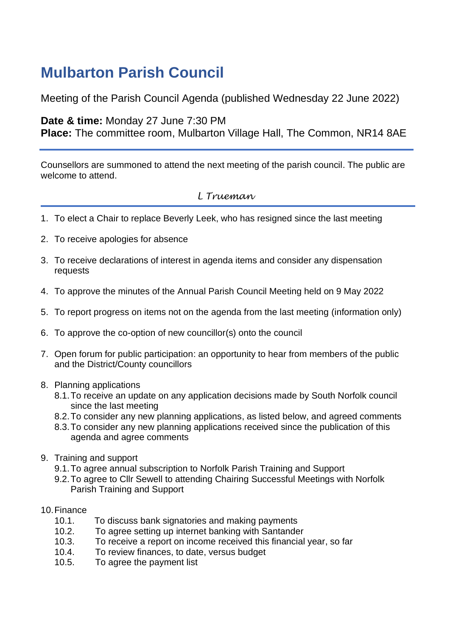# **Mulbarton Parish Council**

Meeting of the Parish Council Agenda (published Wednesday 22 June 2022)

## **Date & time:** Monday 27 June 7:30 PM

**Place:** The committee room, Mulbarton Village Hall, The Common, NR14 8AE

Counsellors are summoned to attend the next meeting of the parish council. The public are welcome to attend.

# *L Trueman*

- 1. To elect a Chair to replace Beverly Leek, who has resigned since the last meeting
- 2. To receive apologies for absence
- 3. To receive declarations of interest in agenda items and consider any dispensation requests
- 4. To approve the minutes of the Annual Parish Council Meeting held on 9 May 2022
- 5. To report progress on items not on the agenda from the last meeting (information only)
- 6. To approve the co-option of new councillor(s) onto the council
- 7. Open forum for public participation: an opportunity to hear from members of the public and the District/County councillors
- 8. Planning applications
	- 8.1.To receive an update on any application decisions made by South Norfolk council since the last meeting
	- 8.2.To consider any new planning applications, as listed below, and agreed comments
	- 8.3.To consider any new planning applications received since the publication of this agenda and agree comments
- 9. Training and support
	- 9.1.To agree annual subscription to Norfolk Parish Training and Support
	- 9.2.To agree to Cllr Sewell to attending Chairing Successful Meetings with Norfolk Parish Training and Support
- 10.Finance
	- 10.1. To discuss bank signatories and making payments
	- 10.2. To agree setting up internet banking with Santander
	- 10.3. To receive a report on income received this financial year, so far
	- 10.4. To review finances, to date, versus budget
	- 10.5. To agree the payment list